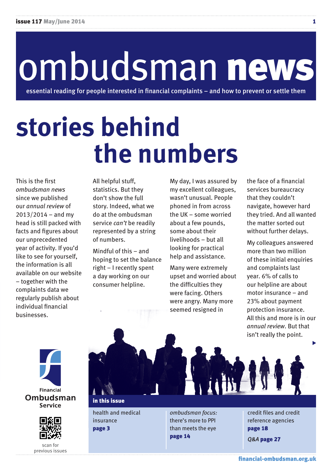# ombudsman news

essential reading for people interested in financial complaints – and how to prevent or settle them

# **stories behind the numbers**

This is the first *ombudsman news* since we published our *annual review* of  $2013/2014 -$  and my head is still packed with facts and figures about our unprecedented year of activity. If you'd like to see for yourself, the information is all available on our website – together with the complaints data we regularly publish about individual financial businesses.

All helpful stuff, statistics. But they don't show the full story. Indeed, what we do at the ombudsman service *can't* be readily represented by a string of numbers.

Mindful of this – and hoping to set the balance right – I recently spent a day working on our consumer helpline.

My day, I was assured by my excellent colleagues, wasn't unusual. People phoned in from across the UK – some worried about a few pounds, some about their livelihoods – but all looking for practical help and assistance.

Many were extremely upset and worried about the difficulties they were facing. Others were angry. Many more seemed resigned in

the face of a financial services bureaucracy that they couldn't navigate, however hard they tried. And all wanted the matter sorted out without further delays.

My colleagues answered more than two million of these initial enquiries and complaints last year. 6% of calls to our helpline are about motor insurance – and 23% about payment protection insurance. All this and more is in our *annual review*. But that isn't really the point.





scan for previous issues



health and medical insurance page 3

*ombudsman focus:* there's more to PPI than meets the eye page 14

credit files and credit reference agencies page 18

*Q&A* page 27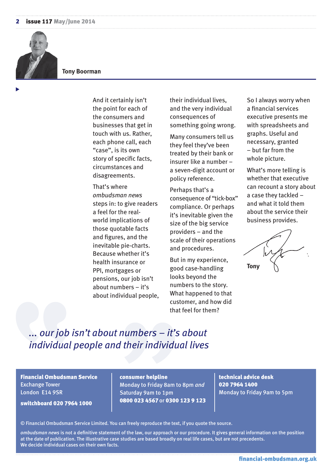

#### **Tony Boorman**

And it certainly isn't the point for each of the consumers and businesses that get in touch with us. Rather, each phone call, each "case", is its own story of specific facts, circumstances and disagreements.

That's where *ombudsman news* steps in: to give readers a feel for the realworld implications of those quotable facts and figures, and the inevitable pie-charts. Because whether it's health insurance or PPI, mortgages or pensions, our job isn't about numbers – it's about individual people, their individual lives, and the very individual consequences of something going wrong.

Many consumers tell us they feel they've been treated by their bank or insurer like a number – a seven-digit account or policy reference.

Perhaps that's a consequence of "tick-box" compliance. Or perhaps it's inevitable given the size of the big service providers – and the scale of their operations and procedures.

But in my experience, good case-handling looks beyond the numbers to the story. What happened to that customer, and how did that feel for them?

So I always worry when a financial services executive presents me with spreadsheets and graphs. Useful and necessary, granted – but far from the whole picture.

What's more telling is whether that executive can recount a story about a case they tackled – and what it told them about the service their business provides.

**Tony**

*... our job isn't about numbers – it's about individual people and their individual lives*

Financial Ombudsman Service Exchange Tower London E14 9SR

switchboard 020 7964 1000

consumer helpline Monday to Friday 8am to 8pm *and* Saturday 9am to 1pm 0800 023 4567 or 0300 123 9 123 technical advice desk 020 7964 1400 Monday to Friday 9am to 5pm

© Financial Ombudsman Service Limited. You can freely reproduce the text, if you quote the source.

*ombudsman news* is not a definitive statement of the law, our approach or our procedure. It gives general information on the position at the date of publication. The illustrative case studies are based broadly on real life cases, but are not precedents. We decide individual cases on their own facts.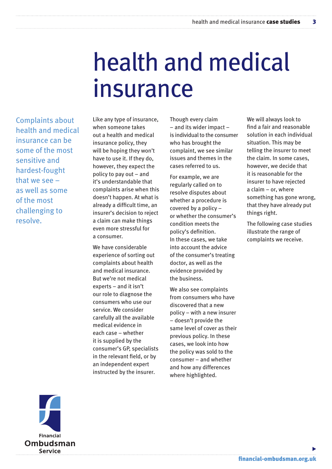## health and medical insurance

Complaints about health and medical insurance can be some of the most sensitive and hardest-fought that we see – as well as some of the most challenging to resolve.

Like any type of insurance, when someone takes out a health and medical insurance policy, they will be hoping they won't have to use it. If they do, however, they expect the policy to pay out – and it's understandable that complaints arise when this doesn't happen. At what is already a difficult time, an insurer's decision to reject a claim can make things even more stressful for a consumer.

We have considerable experience of sorting out complaints about health and medical insurance. But we're not medical experts – and it isn't our role to diagnose the consumers who use our service. We consider carefully all the available medical evidence in each case – whether it is supplied by the consumer's GP, specialists in the relevant field, or by an independent expert instructed by the insurer.

Though every claim – and its wider impact – is individual to the consumer who has brought the complaint, we see similar issues and themes in the cases referred to us.

For example, we are regularly called on to resolve disputes about whether a procedure is covered by a policy – or whether the consumer's condition meets the policy's definition. In these cases, we take into account the advice of the consumer's treating doctor, as well as the evidence provided by the business.

We also see complaints from consumers who have discovered that a new policy – with a new insurer – doesn't provide the same level of cover as their previous policy. In these cases, we look into how the policy was sold to the consumer – and whether and how any differences where highlighted.

We will always look to find a fair and reasonable solution in each individual situation. This may be telling the insurer to meet the claim. In some cases, however, we decide that it is reasonable for the insurer to have rejected a claim – or, where something has gone wrong, that they have already put things right.

The following case studies illustrate the range of complaints we receive.

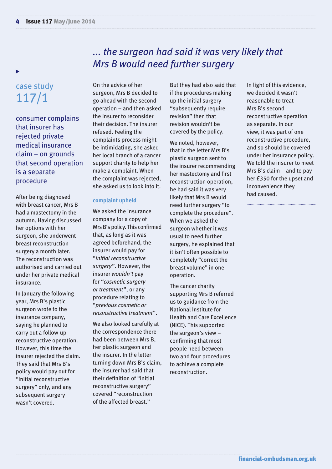case study 117/1

consumer complains that insurer has rejected private medical insurance claim – on grounds that second operation is a separate procedure

After being diagnosed with breast cancer, Mrs B had a mastectomy in the autumn. Having discussed her options with her surgeon, she underwent breast reconstruction surgery a month later. The reconstruction was authorised and carried out under her private medical insurance.

In January the following year, Mrs B's plastic surgeon wrote to the insurance company, saying he planned to carry out a follow-up reconstructive operation. However, this time the insurer rejected the claim. They said that Mrs B's policy would pay out for "initial reconstructive surgery" only, and any subsequent surgery wasn't covered.

## *... the surgeon had said it was very likely that Mrs B would need further surgery*

On the advice of her surgeon, Mrs B decided to go ahead with the second operation – and then asked the insurer to reconsider their decision. The insurer refused. Feeling the complaints process might be intimidating, she asked her local branch of a cancer support charity to help her make a complaint. When the complaint was rejected, she asked us to look into it.

#### **complaint upheld**

We asked the insurance company for a copy of Mrs B's policy. This confirmed that, as long as it was agreed beforehand, the insurer would pay for "*initial reconstructive surgery*". However, the insurer *wouldn't* pay for "*cosmetic surgery or treatment*", or any procedure relating to "*previous cosmetic or reconstructive treatment*".

We also looked carefully at the correspondence there had been between Mrs B, her plastic surgeon and the insurer. In the letter turning down Mrs B's claim, the insurer had said that their definition of "initial reconstructive surgery" covered "reconstruction of the affected breast."

But they had also said that if the procedures making up the initial surgery "subsequently require revision" then that revision wouldn't be covered by the policy.

We noted, however, that in the letter Mrs B's plastic surgeon sent to the insurer recommending her mastectomy and first reconstruction operation, he had said it was very likely that Mrs B would need further surgery "to complete the procedure". When we asked the surgeon whether it was usual to need further surgery, he explained that it isn't often possible to completely "correct the breast volume" in one operation.

The cancer charity supporting Mrs B referred us to guidance from the National Institute for Health and Care Excellence (NICE). This supported the surgeon's view – confirming that most people need between two and four procedures to achieve a complete reconstruction.

In light of this evidence, we decided it wasn't reasonable to treat Mrs B's second reconstructive operation as separate. In our view, it was part of one reconstructive procedure, and so should be covered under her insurance policy. We told the insurer to meet Mrs B's claim – and to pay her £350 for the upset and inconvenience they had caused.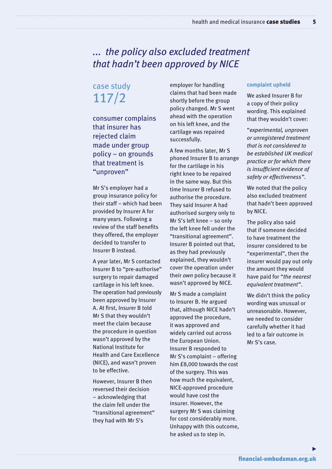## *... the policy also excluded treatment that hadn't been approved by NICE*

## case study 117/2

consumer complains that insurer has rejected claim made under group policy – on grounds that treatment is "unproven"

Mr S's employer had a group insurance policy for their staff – which had been provided by Insurer A for many years. Following a review of the staff benefits they offered, the employer decided to transfer to Insurer B instead.

A year later, Mr S contacted Insurer B to "pre-authorise" surgery to repair damaged cartilage in his left knee. The operation had previously been approved by Insurer A. At first, Insurer B told Mr S that they wouldn't meet the claim because the procedure in question wasn't approved by the National Institute for Health and Care Excellence (NICE), and wasn't proven to be effective.

However, Insurer B then reversed their decision – acknowledging that the claim fell under the "transitional agreement" they had with Mr S's

employer for handling claims that had been made shortly before the group policy changed. Mr S went ahead with the operation on his left knee, and the cartilage was repaired successfully.

A few months later, Mr S phoned Insurer B to arrange for the cartilage in his right knee to be repaired in the same way. But this time Insurer B refused to authorise the procedure. They said Insurer A had authorised surgery only to Mr S's left knee – so only the left knee fell under the "transitional agreement". Insurer B pointed out that, as they had previously explained, they wouldn't cover the operation under their *own* policy because it wasn't approved by NICE.

Mr S made a complaint to Insurer B. He argued that, although NICE hadn't approved the procedure, it was approved and widely carried out across the European Union. Insurer B responded to Mr S's complaint – offering him £8,000 towards the cost of the surgery. This was how much the equivalent, NICE-approved procedure would have cost the insurer. However, the surgery Mr S was claiming for cost considerably more. Unhappy with this outcome, he asked us to step in.

#### **complaint upheld**

We asked Insurer B for a copy of their policy wording. This explained that they wouldn't cover:

"*experimental, unproven or unregistered treatment that is not considered to be established UK medical practice or for which there is insufficient evidence of safety or effectiveness*"*.*

We noted that the policy also excluded treatment that hadn't been approved by NICE.

The policy also said that if someone decided to have treatment the insurer considered to be "experimental", then the insurer would pay out only the amount they would have paid for "*the nearest equivalent treatment*".

We didn't think the policy wording was unusual or unreasonable. However, we needed to consider carefully whether it had led to a fair outcome in Mr S's case.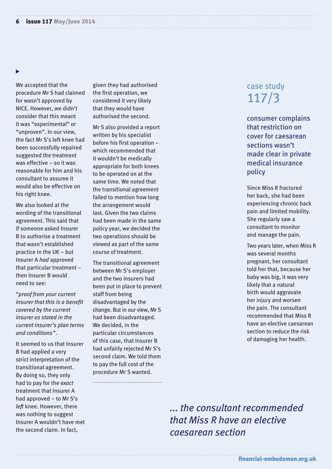#### ь

We accepted that the procedure Mr S had claimed for wasn't approved by NICE. However, we didn't consider that this meant it was "experimental" or "unproven". In our view, the fact Mr S's left knee had been successfully repaired suggested the treatment was effective – so it was reasonable for him and his consultant to assume it would also be effective on his right knee.

We also looked at the wording of the transitional agreement. This said that if someone asked Insurer B to authorise a treatment that wasn't established practice in the UK – but Insurer A *had* approved that particular treatment – then Insurer B would need to see:

"*proof from your current insurer that this is a benefit covered by the current insurer as stated in the current insurer's plan terms and conditions*".

It seemed to us that Insurer B had applied a very strict interpretation of the transitional agreement. By doing so, they only had to pay for the *exact* treatment that Insurer A had approved – to Mr S's *left* knee. However, there was nothing to suggest Insurer A wouldn't have met the second claim. In fact,

given they had authorised the first operation, we considered it very likely that they would have authorised the second.

Mr S also provided a report written by his specialist before his first operation – which recommended that it wouldn't be medically appropriate for both knees to be operated on at the same time. We noted that the transitional agreement failed to mention how long the arrangement would last. Given the two claims had been made in the same policy year, we decided the two operations should be viewed as part of the same course of treatment.

The transitional agreement between Mr S's employer and the two insurers had been put in place to prevent staff from being disadvantaged by the change. But in our view, Mr S had been disadvantaged. We decided, in the particular circumstances of this case, that Insurer B had unfairly rejected Mr S's second claim. We told them to pay the full cost of the procedure Mr S wanted.

## case study 117/3

consumer complains that restriction on cover for caesarean sections wasn't made clear in private medical insurance policy

Since Miss R fractured her back, she had been experiencing chronic back pain and limited mobility. She regularly saw a consultant to monitor and manage the pain.

Two years later, when Miss R was several months pregnant, her consultant told her that, because her baby was big, it was very likely that a natural birth would aggravate her injury and worsen the pain. The consultant recommended that Miss R have an elective caesarean section to reduce the risk of damaging her health.

*... the consultant recommended that Miss R have an elective caesarean section*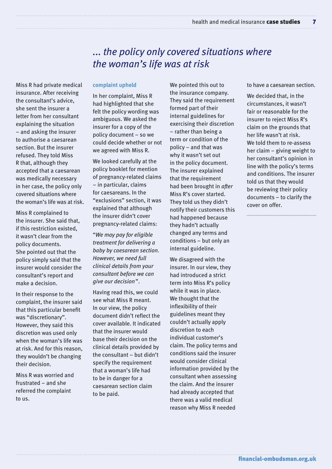## *... the policy only covered situations where the woman's life was at risk*

Miss R had private medical insurance. After receiving the consultant's advice, she sent the insurer a letter from her consultant explaining the situation – and asking the insurer to authorise a caesarean section. But the insurer refused. They told Miss R that, although they accepted that a caesarean was medically necessary in her case, the policy only covered situations where the woman's life was at risk.

Miss R complained to the insurer. She said that, if this restriction existed, it wasn't clear from the policy documents. She pointed out that the policy simply said that the insurer would consider the consultant's report and make a decision.

In their response to the complaint, the insurer said that this particular benefit was "discretionary". However, they said this discretion was used only when the woman's life was at risk. And for this reason, they wouldn't be changing their decision.

Miss R was worried and frustrated – and she referred the complaint to us.

#### **complaint upheld**

In her complaint, Miss R had highlighted that she felt the policy wording was ambiguous. We asked the insurer for a copy of the policy document – so we could decide whether or not we agreed with Miss R.

We looked carefully at the policy booklet for mention of pregnancy-related claims – in particular, claims for caesareans. In the "exclusions" section, it was explained that although the insurer didn't cover pregnancy-related claims:

"*We may pay for eligible treatment for delivering a baby by caesarean section. However, we need full clinical details from your consultant before we can give our decision*".

Having read this, we could see what Miss R meant. In our view, the policy document didn't reflect the cover available. It indicated that the insurer would base their decision on the clinical details provided by the consultant – but didn't specify the requirement that a woman's life had to be in danger for a caesarean section claim to be paid.

We pointed this out to the insurance company. They said the requirement formed part of their internal guidelines for exercising their discretion – rather than being a term or condition of the policy – and that was why it wasn't set out in the policy document. The insurer explained that the requirement had been brought in *after* Miss R's cover started. They told us they didn't notify their customers this had happened because they hadn't actually changed any terms and conditions – but only an internal guideline.

We disagreed with the insurer. In our view, they had introduced a strict term into Miss R's policy while it was in place. We thought that the inflexibility of their guidelines meant they couldn't actually apply discretion to each individual customer's claim. The policy terms and conditions said the insurer would consider clinical information provided by the consultant when assessing the claim. And the insurer had already accepted that there was a valid medical reason why Miss R needed

to have a caesarean section.

We decided that, in the circumstances, it wasn't fair or reasonable for the insurer to reject Miss R's claim on the grounds that her life wasn't at risk. We told them to re-assess her claim – giving weight to her consultant's opinion in line with the policy's terms and conditions. The insurer told us that they would be reviewing their policy documents – to clarify the cover on offer.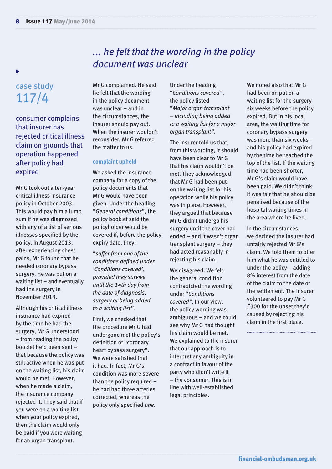## *... he felt that the wording in the policy document was unclear*

case study 117/4

consumer complains that insurer has rejected critical illness claim on grounds that operation happened after policy had expired

Mr G took out a ten-year critical illness insurance policy in October 2003. This would pay him a lump sum if he was diagnosed with any of a list of serious illnesses specified by the policy. In August 2013, after experiencing chest pains, Mr G found that he needed coronary bypass surgery. He was put on a waiting list – and eventually had the surgery in November 2013.

Although his critical illness insurance had expired by the time he had the surgery, Mr G understood – from reading the policy booklet he'd been sent – that because the policy was still active when he was put on the waiting list, his claim would be met. However, when he made a claim, the insurance company rejected it. They said that if you were on a waiting list when your policy expired, then the claim would only be paid if you were waiting for an organ transplant.

Mr G complained. He said he felt that the wording in the policy document was unclear – and in the circumstances, the insurer should pay out. When the insurer wouldn't reconsider, Mr G referred the matter to us.

#### **complaint upheld**

We asked the insurance company for a copy of the policy documents that Mr G would have been given. Under the heading "*General conditions*", the policy booklet said the policyholder would be covered if, before the policy expiry date, they:

"*suffer from one of the conditions defined under 'Conditions covered', provided they survive until the 14th day from the date of diagnosis, surgery or being added to a waiting list* ".

First, we checked that the procedure Mr G had undergone met the policy's definition of "coronary heart bypass surgery". We were satisfied that it had. In fact, Mr G's condition was more severe than the policy required he had had three arteries corrected, whereas the policy only specified *one*.

Under the heading "*Conditions covered*", the policy listed "*Major organ transplant – including being added to a waiting list for a major organ transplant*".

The insurer told us that, from this wording, it should have been clear to Mr G that his claim wouldn't be met. They acknowledged that Mr G had been put on the waiting list for his operation while his policy was in place. However, they argued that because Mr G didn't undergo his surgery until the cover had ended – and it wasn't organ transplant surgery – they had acted reasonably in rejecting his claim.

We disagreed. We felt the general condition contradicted the wording under "*Conditions covered*". In our view, the policy wording was ambiguous – and we could see why Mr G had thought his claim would be met. We explained to the insurer that our approach is to interpret any ambiguity in a contract in favour of the party who didn't write it – the consumer. This is in line with well-established legal principles.

We noted also that Mr G had been on put on a waiting list for the surgery six weeks before the policy expired. But in his local area, the waiting time for coronary bypass surgery was more than six weeks – and his policy had expired by the time he reached the top of the list. If the waiting time had been shorter, Mr G's claim would have been paid. We didn't think it was fair that he should be penalised because of the hospital waiting times in the area where he lived.

In the circumstances, we decided the insurer had unfairly rejected Mr G's claim. We told them to offer him what he was entitled to under the policy – adding 8% interest from the date of the claim to the date of the settlement. The insurer volunteered to pay Mr G £300 for the upset they'd caused by rejecting his claim in the first place.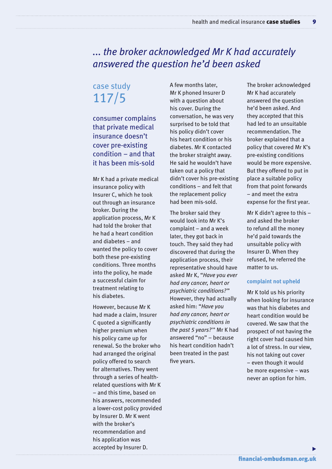## *... the broker acknowledged Mr K had accurately answered the question he'd been asked*

## case study 117/5

consumer complains that private medical insurance doesn't cover pre-existing condition – and that it has been mis-sold

Mr K had a private medical insurance policy with Insurer C, which he took out through an insurance broker. During the application process, Mr K had told the broker that he had a heart condition and diabetes – and wanted the policy to cover both these pre-existing conditions. Three months into the policy, he made a successful claim for treatment relating to his diabetes.

However, because Mr K had made a claim, Insurer C quoted a significantly higher premium when his policy came up for renewal. So the broker who had arranged the original policy offered to search for alternatives. They went through a series of healthrelated questions with Mr K – and this time, based on his answers, recommended a lower-cost policy provided by Insurer D. Mr K went with the broker's recommendation and his application was accepted by Insurer D.

A few months later, Mr K phoned Insurer D with a question about his cover. During the conversation, he was very surprised to be told that his policy didn't cover his heart condition or his diabetes. Mr K contacted the broker straight away. He said he wouldn't have taken out a policy that didn't cover his pre-existing conditions – and felt that the replacement policy had been mis-sold.

The broker said they would look into Mr K's complaint – and a week later, they got back in touch. They said they had discovered that during the application process, their representative should have asked Mr K, "*Have you ever had any cancer, heart or psychiatric conditions?*" However, they had actually asked him: "*Have you had any cancer, heart or psychiatric conditions in the past 5 years?*" Mr K had answered "no" – because his heart condition hadn't been treated in the past five years.

The broker acknowledged Mr K had accurately answered the question he'd been asked. And they accepted that this had led to an unsuitable recommendation. The broker explained that a policy that covered Mr K's pre-existing conditions would be more expensive. But they offered to put in place a suitable policy from that point forwards – and meet the extra expense for the first year.

Mr K didn't agree to this – and asked the broker to refund all the money he'd paid towards the unsuitable policy with Insurer D. When they refused, he referred the matter to us.

#### **complaint not upheld**

Mr K told us his priority when looking for insurance was that his diabetes and heart condition would be covered. We saw that the prospect of not having the right cover had caused him a lot of stress. In our view, his not taking out cover – even though it would be more expensive – was never an option for him.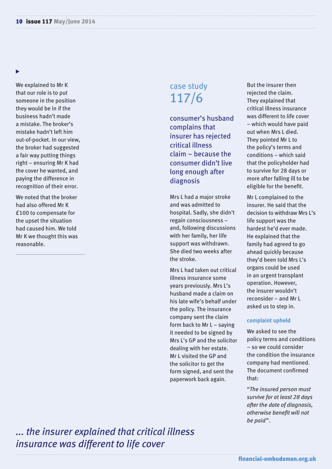Ь

We explained to Mr K that our role is to put someone in the position they would be in if the business hadn't made a mistake. The broker's mistake hadn't left him out-of-pocket. In our view, the broker had suggested a fair way putting things right – ensuring Mr K had the cover he wanted, and paying the difference in recognition of their error.

We noted that the broker had also offered Mr K £100 to compensate for the upset the situation had caused him. We told Mr K we thought this was reasonable.

## case study 117/6

consumer's husband complains that insurer has rejected critical illness claim – because the consumer didn't live long enough after diagnosis

Mrs L had a major stroke and was admitted to hospital. Sadly, she didn't regain consciousness – and, following discussions with her family, her life support was withdrawn. She died two weeks after the stroke.

Mrs L had taken out critical illness insurance some years previously. Mrs L's husband made a claim on his late wife's behalf under the policy. The insurance company sent the claim form back to Mr L – saying it needed to be signed by Mrs L's GP and the solicitor dealing with her estate. Mr L visited the GP and the solicitor to get the form signed, and sent the paperwork back again.

But the insurer then rejected the claim. They explained that critical illness insurance was different to life cover – which would have paid out when Mrs L died. They pointed Mr L to the policy's terms and conditions – which said that the policyholder had to survive for 28 days or more after falling ill to be eligible for the benefit.

Mr L complained to the insurer. He said that the decision to withdraw Mrs L's life support was the hardest he'd ever made. He explained that the family had agreed to go ahead quickly because they'd been told Mrs L's organs could be used in an urgent transplant operation. However, the insurer wouldn't reconsider – and Mr L asked us to step in.

#### **complaint upheld**

We asked to see the policy terms and conditions – so we could consider the condition the insurance company had mentioned. The document confirmed that:

"*The insured person must survive for at least 28 days after the date of diagnosis, otherwise benefit will not be paid*".

*... the insurer explained that critical illness insurance was different to life cover*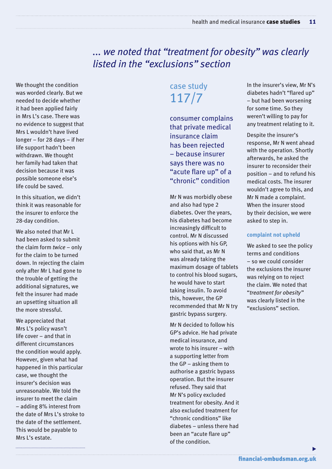## *... we noted that "treatment for obesity" was clearly listed in the "exclusions" section*

We thought the condition was worded clearly. But we needed to decide whether it had been applied fairly in Mrs L's case. There was no evidence to suggest that Mrs L wouldn't have lived longer – for 28 days – if her life support hadn't been withdrawn. We thought her family had taken that decision because it was possible someone else's life could be saved.

In this situation, we didn't think it was reasonable for the insurer to enforce the 28-day condition.

We also noted that Mr L had been asked to submit the claim form *twice* – only for the claim to be turned down. In rejecting the claim only after Mr L had gone to the trouble of getting the additional signatures, we felt the insurer had made an upsetting situation all the more stressful.

We appreciated that Mrs L's policy wasn't life cover – and that in different circumstances the condition would apply. However, given what had happened in this particular case, we thought the insurer's decision was unreasonable. We told the insurer to meet the claim – adding 8% interest from the date of Mrs L's stroke to the date of the settlement. This would be payable to Mrs L's estate.

## case study 117/7

consumer complains that private medical insurance claim has been rejected – because insurer says there was no "acute flare up" of a "chronic" condition

Mr N was morbidly obese and also had type 2 diabetes. Over the years, his diabetes had become increasingly difficult to control. Mr N discussed his options with his GP, who said that, as Mr N was already taking the maximum dosage of tablets to control his blood sugars, he would have to start taking insulin. To avoid this, however, the GP recommended that Mr N try gastric bypass surgery.

Mr N decided to follow his GP's advice. He had private medical insurance, and wrote to his insurer – with a supporting letter from the GP – asking them to authorise a gastric bypass operation. But the insurer refused. They said that Mr N's policy excluded treatment for obesity. And it also excluded treatment for "chronic conditions" like diabetes – unless there had been an "acute flare up" of the condition.

In the insurer's view, Mr N's diabetes hadn't "flared up" – but had been worsening for some time. So they weren't willing to pay for any treatment relating to it.

Despite the insurer's response, Mr N went ahead with the operation. Shortly afterwards, he asked the insurer to reconsider their position – and to refund his medical costs. The insurer wouldn't agree to this, and Mr N made a complaint. When the insurer stood by their decision, we were asked to step in.

#### **complaint not upheld**

We asked to see the policy terms and conditions – so we could consider the exclusions the insurer was relying on to reject the claim. We noted that "*treatment for obesity*" was clearly listed in the "exclusions" section.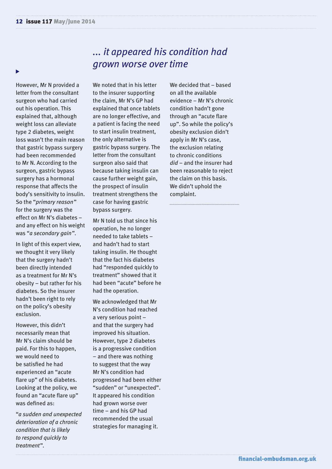## *... it appeared his condition had grown worse over time*

Ь

However, Mr N provided a letter from the consultant surgeon who had carried out his operation. This explained that, although weight loss can alleviate type 2 diabetes, weight loss wasn't the main reason that gastric bypass surgery had been recommended to Mr N. According to the surgeon, gastric bypass surgery has a hormonal response that affects the body's sensitivity to insulin. So the "*primary reason*" for the surgery was the effect on Mr N's diabetes – and any effect on his weight was "*a secondary gain*".

In light of this expert view, we thought it very likely that the surgery hadn't been directly intended as a treatment for Mr N's obesity – but rather for his diabetes. So the insurer hadn't been right to rely on the policy's obesity exclusion.

However, this didn't necessarily mean that Mr N's claim should be paid. For this to happen, we would need to be satisfied he had experienced an "acute flare up" of his diabetes. Looking at the policy, we found an "acute flare up" was defined as:

"*a sudden and unexpected deterioration of a chronic condition that is likely to respond quickly to treatment*".

We noted that in his letter to the insurer supporting the claim, Mr N's GP had explained that once tablets are no longer effective, and a patient is facing the need to start insulin treatment, the only alternative is gastric bypass surgery. The letter from the consultant surgeon also said that because taking insulin can cause further weight gain, the prospect of insulin treatment strengthens the case for having gastric bypass surgery.

Mr N told us that since his operation, he no longer needed to take tablets – and hadn't had to start taking insulin. He thought that the fact his diabetes had "responded quickly to treatment" showed that it had been "acute" before he had the operation.

We acknowledged that Mr N's condition had reached a very serious point – and that the surgery had improved his situation. However, type 2 diabetes is a progressive condition – and there was nothing to suggest that the way Mr N's condition had progressed had been either "sudden" or "unexpected". It appeared his condition had grown worse over time – and his GP had recommended the usual strategies for managing it.

We decided that – based on all the available evidence – Mr N's chronic condition hadn't gone through an "acute flare up". So while the policy's obesity exclusion didn't apply in Mr N's case, the exclusion relating to chronic conditions *did* – and the insurer had been reasonable to reject the claim on this basis. We didn't uphold the complaint.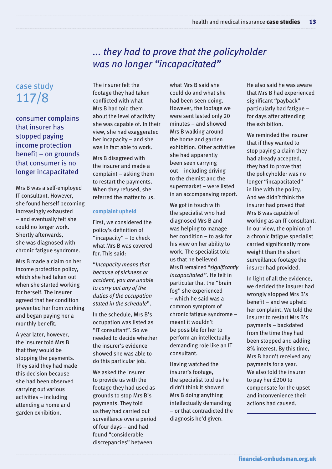## *... they had to prove that the policyholder was no longer "incapacitated"*

## case study 117/8

consumer complains that insurer has stopped paying income protection benefit – on grounds that consumer is no longer incapacitated

Mrs B was a self-employed IT consultant. However, she found herself becoming increasingly exhausted – and eventually felt she could no longer work. Shortly afterwards, she was diagnosed with chronic fatigue syndrome.

Mrs B made a claim on her income protection policy, which she had taken out when she started working for herself. The insurer agreed that her condition prevented her from working and began paying her a monthly benefit.

A year later, however, the insurer told Mrs B that they would be stopping the payments. They said they had made this decision because she had been observed carrying out various activities – including attending a home and garden exhibition.

The insurer felt the footage they had taken conflicted with what Mrs B had told them about the level of activity she was capable of. In their view, she had exaggerated her incapacity – and she was in fact able to work.

Mrs B disagreed with the insurer and made a complaint – asking them to restart the payments. When they refused, she referred the matter to us.

#### **complaint upheld**

First, we considered the policy's definition of "incapacity" – to check what Mrs B was covered for. This said:

"*Incapacity means that because of sickness or accident, you are unable to carry out any of the duties of the occupation stated in the schedule*".

In the schedule, Mrs B's occupation was listed as "IT consultant". So we needed to decide whether the insurer's evidence showed she was able to do this particular job.

We asked the insurer to provide us with the footage they had used as grounds to stop Mrs B's payments. They told us they had carried out surveillance over a period of four days – and had found "considerable discrepancies" between

what Mrs B said she could do and what she had been seen doing. However, the footage we were sent lasted only 20 minutes – and showed Mrs B walking around the home and garden exhibition. Other activities she had apparently been seen carrying out – including driving to the chemist and the supermarket – were listed in an accompanying report.

We got in touch with the specialist who had diagnosed Mrs B and was helping to manage her condition – to ask for his view on her ability to work. The specialist told us that he believed Mrs B remained "*significantly incapacitated* ". He felt in particular that the "brain fog" she experienced – which he said was a common symptom of chronic fatigue syndrome – meant it wouldn't be possible for her to perform an intellectually demanding role like an IT consultant.

Having watched the insurer's footage, the specialist told us he didn't think it showed Mrs B doing anything intellectually demanding – or that contradicted the diagnosis he'd given.

He also said he was aware that Mrs B had experienced significant "payback" – particularly bad fatigue – for days after attending the exhibition.

We reminded the insurer that if they wanted to stop paying a claim they had already accepted, they had to prove that the policyholder was no longer "incapacitated" in line with the policy. And we didn't think the insurer had proved that Mrs B was capable of working as an IT consultant. In our view, the opinion of a chronic fatigue specialist carried significantly more weight than the short surveillance footage the insurer had provided.

In light of all the evidence, we decided the insurer had wrongly stopped Mrs B's benefit – and we upheld her complaint. We told the insurer to restart Mrs B's payments – backdated from the time they had been stopped and adding 8% interest. By this time, Mrs B hadn't received any payments for a year. We also told the insurer to pay her £200 to compensate for the upset and inconvenience their actions had caused.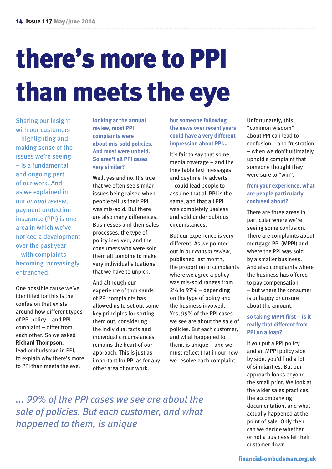# there's more to PPI than meets the eye

Sharing our insight with our customers – highlighting and making sense of the issues we're seeing – is a fundamental and ongoing part of our work. And as we explained in our *annual review*, payment protection insurance (PPI) is one area in which we've noticed a development over the past year – with complaints becoming increasingly entrenched.

One possible cause we've identified for this is the confusion that exists around how different types of PPI policy – and PPI complaint – differ from each other. So we asked **Richard Thompson**, lead ombudsman in PPI, to explain why there's more to PPI than meets the eye.

**looking at the annual review, most PPI complaints were about mis-sold policies. And most were upheld. So aren't all PPI cases very similar?** 

Well, yes and no. It's true that we often see similar issues being raised when people tell us their PPI was mis-sold. But there are also many differences. Businesses and their sales processes, the type of policy involved, and the consumers who were sold them all combine to make very individual situations that we have to unpick.

And although our experience of thousands of PPI complaints has allowed us to set out some key principles for sorting them out, considering the individual facts and individual circumstances remains the heart of our approach. This is just as important for PPI as for any other area of our work.

**but someone following the news over recent years could have a very different impression about PPI…** 

It's fair to say that some media coverage – and the inevitable text messages and daytime TV adverts – could lead people to assume that all PPI is the same, and that all PPI was completely useless and sold under dubious circumstances.

But our experience is very different. As we pointed out in our *annual review*, published last month, the proportion of complaints where we agree a policy was mis-sold ranges from 2% to 97% – depending on the type of policy and the business involved. Yes, 99% of the PPI cases we see are about the sale of policies. But each customer, and what happened to them, is unique  $-$  and we must reflect that in our how we resolve each complaint.

Unfortunately, this "common wisdom" about PPI can lead to confusion – and frustration – when we don't ultimately uphold a complaint that someone thought they were sure to "win".

#### **from your experience, what are people particularly confused about?**

There are three areas in particular where we're seeing some confusion. There are complaints about mortgage PPI (MPPI) and where the PPI was sold by a smaller business. And also complaints where the business has offered to pay compensation – but where the consumer is unhappy or unsure about the amount.

#### **so taking MPPI first – is it really that different from PPI on a loan?**

If you put a PPI policy and an MPPI policy side by side, you'd find a lot of similarities. But our approach looks beyond the small print. We look at the wider sales practices, the accompanying documentation, and what actually happened at the point of sale. Only then can we decide whether or not a business let their customer down.

*... 99% of the PPI cases we see are about the sale of policies. But each customer, and what happened to them, is unique*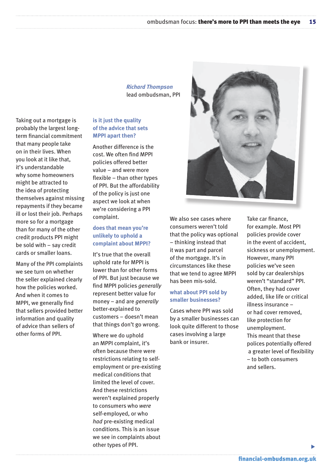Taking out a mortgage is probably the largest longterm financial commitment that many people take on in their lives. When you look at it like that, it's understandable why some homeowners might be attracted to the idea of protecting themselves against missing repayments if they became ill or lost their job. Perhaps more so for a mortgage than for many of the other credit products PPI might be sold with – say credit cards or smaller loans.

Many of the PPI complaints we see turn on whether the seller explained clearly how the policies worked. And when it comes to MPPI, we generally find that sellers provided better information and quality of advice than sellers of other forms of PPI.

*Richard Thompson* lead ombudsman, PPI

#### **is it just the quality of the advice that sets MPPI apart then?**

Another difference is the cost. We often find MPPI policies offered better value – and were more flexible – than other types of PPI. But the affordability of the policy is just one aspect we look at when we're considering a PPI complaint.

#### **does that mean you're unlikely to uphold a complaint about MPPI?**

It's true that the overall uphold rate for MPPI is lower than for other forms of PPI. But just because we find MPPI policies *generally* represent better value for money – and are *generally* better-explained to customers – doesn't mean that things don't go wrong.

Where we do uphold an MPPI complaint, it's often because there were restrictions relating to selfemployment or pre-existing medical conditions that limited the level of cover. And these restrictions weren't explained properly to consumers who *were* self-employed, or who *had* pre-existing medical conditions. This is an issue we see in complaints about other types of PPI.



We also see cases where consumers weren't told that the policy was optional – thinking instead that it was part and parcel of the mortgage. It's in circumstances like these that we tend to agree MPPI has been mis-sold.

#### **what about PPI sold by smaller businesses?**

Cases where PPI was sold by a smaller businesses can look quite different to those cases involving a large bank or insurer.

Take car finance, for example. Most PPI policies provide cover in the event of accident, sickness or unemployment. However, many PPI policies we've seen sold by car dealerships weren't "standard" PPI. Often, they had cover added, like life or critical illness insurance – or had cover removed, like protection for unemployment. This meant that these polices potentially offered a greater level of flexibility – to both consumers and sellers.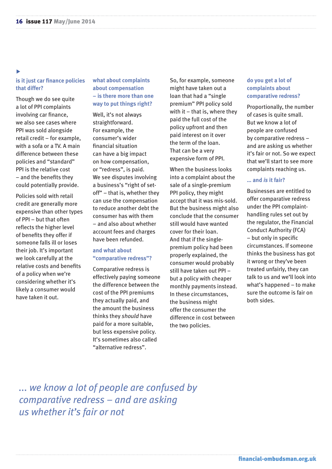#### **is it just car finance policies that differ?**

Though we do see quite a lot of PPI complaints involving car finance, we also see cases where PPI was sold alongside retail credit – for example, with a sofa or a TV. A main difference between these policies and "standard" PPI is the relative cost – and the benefits they could potentially provide.

Policies sold with retail credit are generally more expensive than other types of PPI – but that often reflects the higher level of benefits they offer if someone falls ill or loses their job. It's important we look carefully at the relative costs and benefits of a policy when we're considering whether it's likely a consumer would have taken it out.

#### **what about complaints about compensation – is there more than one way to put things right?**

Well, it's not always straightforward. For example, the consumer's wider financial situation can have a big impact on how compensation, or "redress", is paid. We see disputes involving a business's "right of setoff" – that is, whether they can use the compensation to reduce another debt the consumer has with them – and also about whether account fees and charges have been refunded.

#### **and what about "comparative redress"?**

Comparative redress is effectively paying someone the difference between the cost of the PPI premiums they actually paid, and the amount the business thinks they *should* have paid for a more suitable, but less expensive policy. It's sometimes also called "alternative redress".

So, for example, someone might have taken out a loan that had a "single premium" PPI policy sold with it  $-$  that is, where they paid the full cost of the policy upfront and then paid interest on it over the term of the loan. That can be a very expensive form of PPI.

When the business looks into a complaint about the sale of a single-premium PPI policy, they might accept that it was mis-sold. But the business might also conclude that the consumer still would have wanted cover for their loan. And that if the singlepremium policy had been properly explained, the consumer would probably still have taken out PPI – but a policy with cheaper monthly payments instead. In these circumstances, the business might offer the consumer the difference in cost between the two policies.

#### **do you get a lot of complaints about comparative redress?**

Proportionally, the number of cases is quite small. But we know a lot of people are confused by comparative redress – and are asking us whether it's fair or not. So we expect that we'll start to see more complaints reaching us.

#### **… and** *is* **it fair?**

Businesses are entitled to offer comparative redress under the PPI complainthandling rules set out by the regulator, the Financial Conduct Authority (FCA) – but only in specific circumstances. If someone thinks the business has got it wrong or they've been treated unfairly, they can talk to us and we'll look into what's happened – to make sure the outcome is fair on both sides.

*... we know a lot of people are confused by comparative redress – and are asking us whether it's fair or not*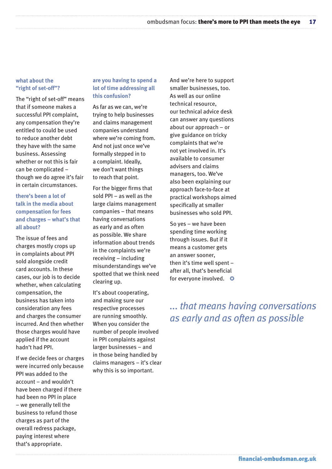#### **what about the "right of set-off"?**

The "right of set-off" means that if someone makes a successful PPI complaint, any compensation they're entitled to could be used to reduce another debt they have with the same business. Assessing whether or not this is fair can be complicated – though we do agree it's fair in certain circumstances.

#### **there's been a lot of talk in the media about compensation for fees and charges – what's that all about?**

The issue of fees and charges mostly crops up in complaints about PPI sold alongside credit card accounts. In these cases, our job is to decide whether, when calculating compensation, the business has taken into consideration any fees and charges the consumer incurred. And then whether those charges would have applied if the account hadn't had PPI.

If we decide fees or charges were incurred only because PPI was added to the account – and wouldn't have been charged if there had been no PPI in place – we generally tell the business to refund those charges as part of the overall redress package, paying interest where that's appropriate.

#### **are you having to spend a lot of time addressing all this confusion?**

As far as we can, we're trying to help businesses and claims management companies understand where we're coming from. And not just once we've formally stepped in to a complaint. Ideally, we don't want things to reach that point.

For the bigger firms that sold PPI – as well as the large claims management companies – that means having conversations as early and as often as possible. We share information about trends in the complaints we're receiving – including misunderstandings we've spotted that we think need clearing up.

It's about cooperating, and making sure our respective processes are running smoothly. When you consider the number of people involved in PPI complaints against larger businesses – and in those being handled by claims managers – it's clear why this is so important.

And we're here to support smaller businesses, too. As well as our online technical resource, our technical advice desk can answer any questions about our approach – or give guidance on tricky complaints that we're not yet involved in. It's available to consumer advisers and claims managers, too. We've also been explaining our approach face-to-face at practical workshops aimed specifically at smaller businesses who sold PPI.

So yes – we have been spending time working through issues. But if it means a customer gets an answer sooner, then it's time well spent – after all, that's beneficial for everyone involved.  $\bullet$ 

*... that means having conversations as early and as often as possible*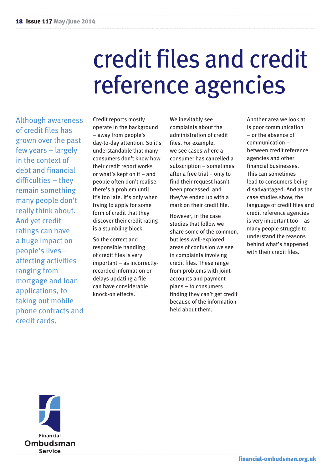## credit files and credit reference agencies

Although awareness of credit files has grown over the past few years – largely in the context of debt and financial difficulties – they remain something many people don't really think about. And yet credit ratings can have a huge impact on people's lives – affecting activities ranging from mortgage and loan applications, to taking out mobile phone contracts and credit cards.

Credit reports mostly operate in the background – away from people's day-to-day attention. So it's understandable that many consumers don't know how their credit report works or what's kept on it – and people often don't realise there's a problem until it's too late. It's only when trying to apply for some form of credit that they discover their credit rating is a stumbling block.

So the correct and responsible handling of credit files is very important – as incorrectlyrecorded information or delays updating a file can have considerable knock-on effects.

We inevitably see complaints about the administration of credit files. For example, we see cases where a consumer has cancelled a subscription – sometimes after a free trial – only to find their request hasn't been processed, and they've ended up with a mark on their credit file.

However, in the case studies that follow we share some of the common, but less well-explored areas of confusion we see in complaints involving credit files. These range from problems with jointaccounts and payment plans – to consumers finding they can't get credit because of the information held about them.

Another area we look at is poor communication – or the absence of communication – between credit reference agencies and other financial businesses. This can sometimes lead to consumers being disadvantaged. And as the case studies show, the language of credit files and credit reference agencies is very important too – as many people struggle to understand the reasons behind what's happened with their credit files.

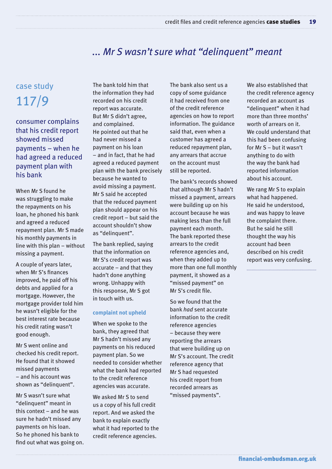### *... Mr S wasn't sure what "delinquent" meant*

## case study 117/9

consumer complains that his credit report showed missed payments – when he had agreed a reduced payment plan with his bank

When Mr S found he was struggling to make the repayments on his loan, he phoned his bank and agreed a reduced repayment plan. Mr S made his monthly payments in line with this plan – without missing a payment.

A couple of years later, when Mr S's finances improved, he paid off his debts and applied for a mortgage. However, the mortgage provider told him he wasn't eligible for the best interest rate because his credit rating wasn't good enough.

Mr S went online and checked his credit report. He found that it showed missed payments – and his account was shown as "delinquent".

Mr S wasn't sure what "delinquent" meant in this context – and he was sure he hadn't missed any payments on his loan. So he phoned his bank to find out what was going on. The bank told him that the information they had recorded on his credit report was accurate. But Mr S didn't agree, and complained. He pointed out that he had never missed a payment on his loan – and in fact, that he had agreed a reduced payment plan with the bank precisely because he wanted to avoid missing a payment. Mr S said he accepted that the reduced payment plan should appear on his credit report – but said the account shouldn't show as "delinquent".

The bank replied, saying that the information on Mr S's credit report was accurate – and that they hadn't done anything wrong. Unhappy with this response, Mr S got in touch with us.

#### **complaint not upheld**

When we spoke to the bank, they agreed that Mr S hadn't missed any payments on his reduced payment plan. So we needed to consider whether what the bank had reported to the credit reference agencies was accurate.

We asked Mr S to send us a copy of his full credit report. And we asked the bank to explain exactly what it had reported to the credit reference agencies.

The bank also sent us a copy of some guidance it had received from one of the credit reference agencies on how to report information. The guidance said that, even when a customer has agreed a reduced repayment plan, any arrears that accrue on the account must still be reported.

The bank's records showed that although Mr S hadn't missed a payment, arrears were building up on his account because he was making less than the full payment each month. The bank reported these arrears to the credit reference agencies and, when they added up to more than one full monthly payment, it showed as a "missed payment" on Mr S's credit file.

So we found that the bank *had* sent accurate information to the credit reference agencies – because they were reporting the arrears that were building up on Mr S's account. The credit reference agency that Mr S had requested his credit report from recorded arrears as "missed payments".

We also established that the credit reference agency recorded an account as "delinquent" when it had more than three months' worth of arrears on it. We could understand that this had been confusing for Mr S – but it wasn't anything to do with the way the bank had reported information about his account.

We rang Mr S to explain what had happened. He said he understood, and was happy to leave the complaint there. But he said he still thought the way his account had been described on his credit report was very confusing.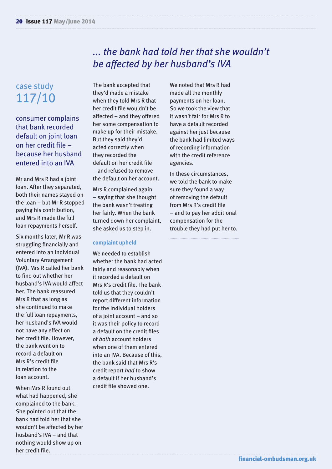## *... the bank had told her that she wouldn't be affected by her husband's IVA*

## case study 117/10

consumer complains that bank recorded default on joint loan on her credit file – because her husband entered into an IVA

Mr and Mrs R had a joint loan. After they separated, both their names stayed on the loan – but Mr R stopped paying his contribution, and Mrs R made the full loan repayments herself.

Six months later, Mr R was struggling financially and entered into an Individual Voluntary Arrangement (IVA). Mrs R called her bank to find out whether her husband's IVA would affect her. The bank reassured Mrs R that as long as she continued to make the full loan repayments, her husband's IVA would not have any effect on her credit file. However, the bank went on to record a default on Mrs R's credit file in relation to the loan account.

When Mrs R found out what had happened, she complained to the bank. She pointed out that the bank had told her that she wouldn't be affected by her husband's IVA – and that nothing would show up on her credit file.

The bank accepted that they'd made a mistake when they told Mrs R that her credit file wouldn't be affected – and they offered her some compensation to make up for their mistake. But they said they'd acted correctly when they recorded the default on her credit file – and refused to remove the default on her account.

Mrs R complained again – saying that she thought the bank wasn't treating her fairly. When the bank turned down her complaint, she asked us to step in.

#### **complaint upheld**

We needed to establish whether the bank had acted fairly and reasonably when it recorded a default on Mrs R's credit file. The bank told us that they couldn't report different information for the individual holders of a joint account – and so it was their policy to record a default on the credit files of *both* account holders when one of them entered into an IVA. Because of this, the bank said that Mrs R's credit report *had* to show a default if her husband's credit file showed one.

We noted that Mrs R had made all the monthly payments on her loan. So we took the view that it wasn't fair for Mrs R to have a default recorded against her just because the bank had limited ways of recording information with the credit reference agencies.

In these circumstances, we told the bank to make sure they found a way of removing the default from Mrs R's credit file – and to pay her additional compensation for the trouble they had put her to.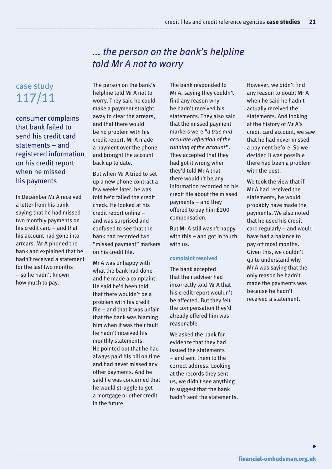## *... the person on the bank's helpline told Mr A not to worry*

## case study 117/11

consumer complains that bank failed to send his credit card statements – and registered information on his credit report when he missed his payments

In December Mr A received a letter from his bank saying that he had missed two monthly payments on his credit card – and that his account had gone into arrears. Mr A phoned the bank and explained that he hadn't received a statement for the last two months – so he hadn't known how much to pay.

The person on the bank's helpline told Mr A not to worry. They said he could make a payment straight away to clear the arrears, and that there would be no problem with his credit report. Mr A made a payment over the phone and brought the account back up to date.

But when Mr A tried to set up a new phone contract a few weeks later, he was told he'd failed the credit check. He looked at his credit report online – and was surprised and confused to see that the bank had recorded two "missed payment" markers on his credit file.

Mr A was unhappy with what the bank had done – and he made a complaint. He said he'd been told that there wouldn't be a problem with his credit file – and that it was unfair that the bank was blaming him when it was their fault he hadn't received his monthly statements. He pointed out that he had always paid his bill on time and had never missed any other payments. And he said he was concerned that he would struggle to get a mortgage or other credit in the future.

The bank responded to Mr A, saying they couldn't find any reason why he hadn't received his statements. They also said that the missed payment markers were "*a true and accurate reflection of the running of the account*". They accepted that they had got it wrong when they'd told Mr A that there wouldn't be any information recorded on his credit file about the missed payments – and they offered to pay him £200 compensation.

But Mr A still wasn't happy with this – and got in touch with us.

#### **complaint resolved**

The bank accepted that their adviser had incorrectly told Mr A that his credit report wouldn't be affected. But they felt the compensation they'd already offered him was reasonable.

We asked the bank for evidence that they had issued the statements – and sent them to the correct address. Looking at the records they sent us, we didn't see anything to suggest that the bank hadn't sent the statements. However, we didn't find any reason to doubt Mr A when he said he hadn't actually received the statements. And looking at the history of Mr A's credit card account, we saw that he had never missed a payment before. So we decided it was possible there had been a problem with the post.

We took the view that if Mr A had received the statements, he would probably have made the payments. We also noted that he used his credit card regularly – and would have had a balance to pay off most months. Given this, we couldn't quite understand why Mr A was saying that the only reason he hadn't made the payments was because he hadn't received a statement.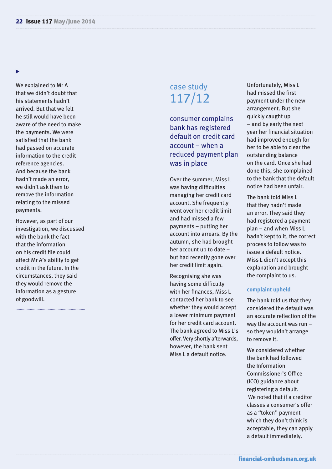Ь

We explained to Mr A that we didn't doubt that his statements hadn't arrived. But that we felt he still would have been aware of the need to make the payments. We were satisfied that the bank had passed on accurate information to the credit reference agencies. And because the bank hadn't made an error, we didn't ask them to remove the information relating to the missed payments.

However, as part of our investigation, we discussed with the bank the fact that the information on his credit file could affect Mr A's ability to get credit in the future. In the circumstances, they said they would remove the information as a gesture of goodwill.

## case study 117/12

consumer complains bank has registered default on credit card account – when a reduced payment plan was in place

Over the summer, Miss L was having difficulties managing her credit card account. She frequently went over her credit limit and had missed a few payments – putting her account into arrears. By the autumn, she had brought her account up to date – but had recently gone over her credit limit again.

Recognising she was having some difficulty with her finances, Miss L contacted her bank to see whether they would accept a lower minimum payment for her credit card account. The bank agreed to Miss L's offer. Very shortly afterwards, however, the bank sent Miss L a default notice.

Unfortunately, Miss L had missed the first payment under the new arrangement. But she quickly caught up – and by early the next year her financial situation had improved enough for her to be able to clear the outstanding balance on the card. Once she had done this, she complained to the bank that the default notice had been unfair.

The bank told Miss L that they hadn't made an error. They said they had registered a payment plan – and when Miss L hadn't kept to it, the correct process to follow was to issue a default notice. Miss L didn't accept this explanation and brought the complaint to us.

#### **complaint upheld**

The bank told us that they considered the default was an accurate reflection of the way the account was run – so they wouldn't arrange to remove it.

We considered whether the bank had followed the Information Commissioner's Office (ICO) guidance about registering a default. We noted that if a creditor classes a consumer's offer as a "token" payment which they don't think is acceptable, they can apply a default immediately.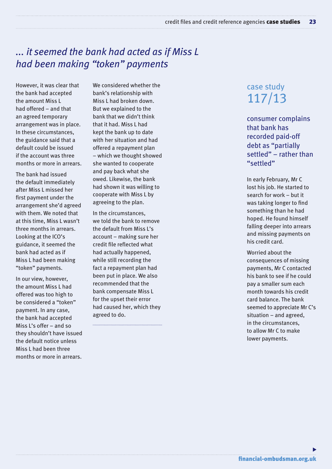## *... it seemed the bank had acted as if Miss L had been making "token" payments*

However, it was clear that the bank had accepted the amount Miss L had offered – and that an agreed temporary arrangement was in place. In these circumstances, the guidance said that a default could be issued if the account was three months or more in arrears.

The bank had issued the default immediately after Miss L missed her first payment under the arrangement she'd agreed with them. We noted that at this time, Miss L wasn't three months in arrears. Looking at the ICO's guidance, it seemed the bank had acted as if Miss L had been making "token" payments.

In our view, however, the amount Miss L had offered was too high to be considered a "token" payment. In any case, the bank had accepted Miss L's offer – and so they shouldn't have issued the default notice unless Miss L had been three months or more in arrears.

We considered whether the bank's relationship with Miss L had broken down. But we explained to the bank that we didn't think that it had. Miss L had kept the bank up to date with her situation and had offered a repayment plan – which we thought showed she wanted to cooperate and pay back what she owed. Likewise, the bank had shown it was willing to cooperate with Miss L by agreeing to the plan.

In the circumstances, we told the bank to remove the default from Miss L's account – making sure her credit file reflected what had actually happened, while still recording the fact a repayment plan had been put in place. We also recommended that the bank compensate Miss L for the upset their error had caused her, which they agreed to do.

## case study 117/13

consumer complains that bank has recorded paid-off debt as "partially settled" – rather than "settled"

In early February, Mr C lost his job. He started to search for work – but it was taking longer to find something than he had hoped. He found himself falling deeper into arrears and missing payments on his credit card.

Worried about the consequences of missing payments, Mr C contacted his bank to see if he could pay a smaller sum each month towards his credit card balance. The bank seemed to appreciate Mr C's situation – and agreed, in the circumstances, to allow Mr C to make lower payments.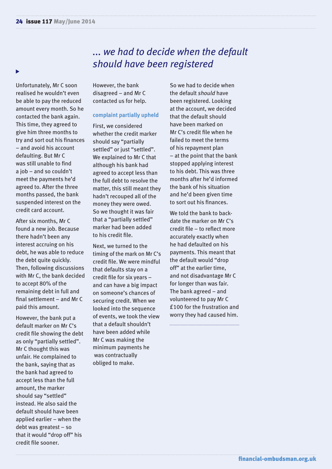## *... we had to decide when the default should have been registered*

Ь

Unfortunately, Mr C soon realised he wouldn't even be able to pay the reduced amount every month. So he contacted the bank again. This time, they agreed to give him three months to try and sort out his finances – and avoid his account defaulting. But Mr C was still unable to find a job – and so couldn't meet the payments he'd agreed to. After the three months passed, the bank suspended interest on the credit card account.

After six months, Mr C found a new job. Because there hadn't been any interest accruing on his debt, he was able to reduce the debt quite quickly. Then, following discussions with Mr C, the bank decided to accept 80% of the remaining debt in full and final settlement – and Mr C paid this amount.

However, the bank put a default marker on Mr C's credit file showing the debt as only "partially settled". Mr C thought this was unfair. He complained to the bank, saying that as the bank had agreed to accept less than the full amount, the marker should say "settled" instead. He also said the default should have been applied earlier – when the debt was greatest – so that it would "drop off" his credit file sooner.

However, the bank disagreed – and Mr C contacted us for help.

#### **complaint partially upheld**

First, we considered whether the credit marker should say "partially settled" or just "settled". We explained to Mr C that although his bank had agreed to accept less than the full debt to resolve the matter, this still meant they hadn't recouped all of the money they were owed. So we thought it was fair that a "partially settled" marker had been added to his credit file.

Next, we turned to the timing of the mark on Mr C's credit file. We were mindful that defaults stay on a credit file for six years – and can have a big impact on someone's chances of securing credit. When we looked into the sequence of events, we took the view that a default shouldn't have been added while Mr C was making the minimum payments he was contractually obliged to make.

So we had to decide when the default *should* have been registered. Looking at the account, we decided that the default should have been marked on Mr C's credit file when he failed to meet the terms of his repayment plan – at the point that the bank stopped applying interest to his debt. This was three months after he'd informed the bank of his situation and he'd been given time to sort out his finances.

We told the bank to backdate the marker on Mr C's credit file – to reflect more accurately exactly when he had defaulted on his payments. This meant that the default would "drop off" at the earlier time, and not disadvantage Mr C for longer than was fair. The bank agreed – and volunteered to pay Mr C £100 for the frustration and worry they had caused him.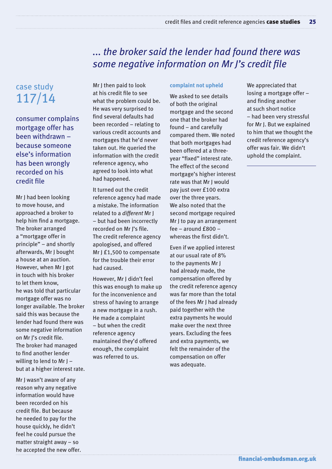## *... the broker said the lender had found there was some negative information on Mr J's credit file*

## case study 117/14

consumer complains mortgage offer has been withdrawn – because someone else's information has been wrongly recorded on his credit file

Mr J had been looking to move house, and approached a broker to help him find a mortgage. The broker arranged a "mortgage offer in principle" – and shortly afterwards, Mr J bought a house at an auction. However, when Mr J got in touch with his broker to let them know, he was told that particular mortgage offer was no longer available. The broker said this was because the lender had found there was some negative information on Mr J's credit file. The broker had managed to find another lender willing to lend to Mr J – but at a higher interest rate.

Mr J wasn't aware of any reason why any negative information would have been recorded on his credit file. But because he needed to pay for the house quickly, he didn't feel he could pursue the matter straight away – so he accepted the new offer. Mr J then paid to look at his credit file to see what the problem could be. He was very surprised to find several defaults had been recorded – relating to various credit accounts and mortgages that he'd never taken out. He queried the information with the credit reference agency, who agreed to look into what had happened.

It turned out the credit reference agency had made a mistake. The information related to a *different* Mr J – but had been incorrectly recorded on Mr J's file. The credit reference agency apologised, and offered Mr J £1,500 to compensate for the trouble their error had caused.

However, Mr J didn't feel this was enough to make up for the inconvenience and stress of having to arrange a new mortgage in a rush. He made a complaint – but when the credit reference agency maintained they'd offered enough, the complaint was referred to us.

#### **complaint not upheld**

We asked to see details of both the original mortgage and the second one that the broker had found – and carefully compared them. We noted that both mortgages had been offered at a threeyear "fixed" interest rate. The effect of the second mortgage's higher interest rate was that Mr J would pay just over £100 extra over the three years. We also noted that the second mortgage required Mr J to pay an arrangement fee – around £800 – whereas the first didn't.

Even if we applied interest at our usual rate of 8% to the payments Mr J had already made, the compensation offered by the credit reference agency was far more than the total of the fees Mr J had already paid together with the extra payments he would make over the next three years. Excluding the fees and extra payments, we felt the remainder of the compensation on offer was adequate.

We appreciated that losing a mortgage offer – and finding another at such short notice – had been very stressful for Mr J. But we explained to him that we thought the credit reference agency's offer was fair. We didn't uphold the complaint.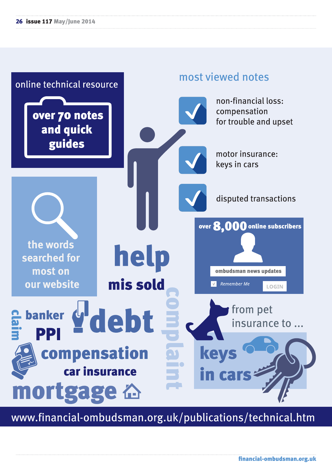

www.financial-ombudsman.org.uk/publications/technical.htm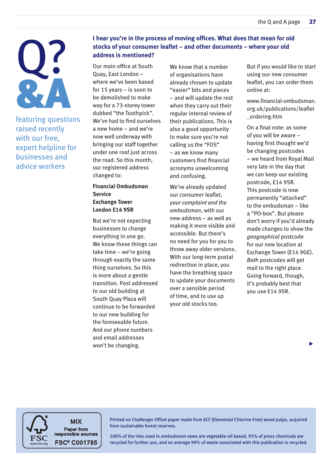

featuring questions raised recently with our free, expert helpline for businesses and advice workers

#### **I hear you're in the process of moving offices. What does that mean for old stocks of your consumer leaflet – and other documents – where your old address is mentioned?**

Our main office at South Quay, East London – where we've been based for 15 years – is soon to be demolished to make way for a 73-storey tower dubbed "the Toothpick". We've had to find ourselves a new home – and we're now well underway with bringing our staff together under one roof just across the road. So this month, our registered address changed to:

#### **Financial Ombudsman Service Exchange Tower London E14 9SR**

But we're not expecting businesses to change everything in one go. We know these things can take time – we're going through exactly the same thing ourselves. So this is more about a gentle transition. Post addressed to our old building at South Quay Plaza will continue to be forwarded to our new building for the foreseeable future. And our phone numbers and email addresses won't be changing.

We know that a number of organisations have already chosen to update "easier" bits and pieces – and will update the rest when they carry out their regular internal review of their publications. This is also a good opportunity to make sure you're not calling us the "FOS" – as we know many customers find financial acronyms unwelcoming and confusing.

We've already updated our consumer leaflet, *your complaint and the ombudsman*, with our new address – as well as making it more visible and accessible. But there's no need for you for you to throw away older versions. With our long-term postal redirection in place, you have the breathing space to update your documents over a sensible period of time, and to use up your old stocks too.

But if you *would* like to start using our new consumer leaflet, you can order them online at:

www.financial-ombudsman. org.uk/publications/leaflet \_ordering.htm

On a final note: as some of you will be aware – having first thought we'd be changing postcodes – we heard from Royal Mail very late in the day that we can keep our existing postcode, E14 9SR. This postcode is now permanently "attached" to the ombudsman – like a "PO-box". But please don't worry if you'd already made changes to show the *geographical* postcode for our new location at Exchange Tower (E14 9GE). *Both* postcodes will get mail to the right place. Going forward, though, it's probably best that you use E14 9SR.

**MIX** Paper from<br>responsible sources **FSC® C001785** 

Printed on Challenger Offset paper made from ECF (Elemental Chlorine-Free) wood pulps, acquired from sustainable forest reserves.

100% of the inks used in *ombudsman news* are vegetable-oil based, 95% of press chemicals are recycled for further use, and on average 99% of waste associated with this publication is recycled.